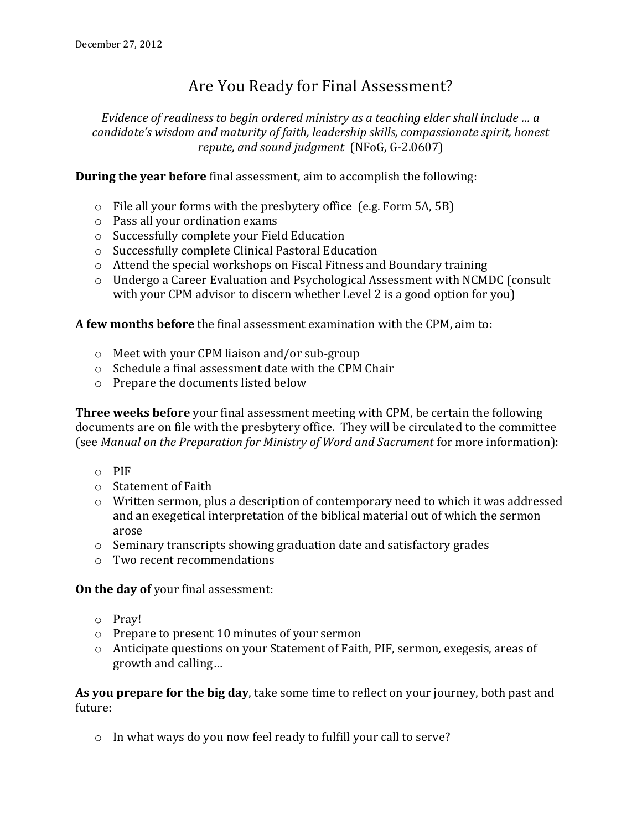## Are You Ready for Final Assessment?

*Evidence of readiness to begin ordered ministry as a teaching elder shall include … a candidate's wisdom and maturity of faith, leadership skills, compassionate spirit, honest repute, and sound judgment* (NFoG, G-2.0607)

**During the year before** final assessment, aim to accomplish the following:

- o File all your forms with the presbytery office (e.g. Form 5A, 5B)
- o Pass all your ordination exams
- o Successfully complete your Field Education
- o Successfully complete Clinical Pastoral Education
- o Attend the special workshops on Fiscal Fitness and Boundary training
- o Undergo a Career Evaluation and Psychological Assessment with NCMDC (consult with your CPM advisor to discern whether Level 2 is a good option for you)

**A few months before** the final assessment examination with the CPM, aim to:

- o Meet with your CPM liaison and/or sub-group
- o Schedule a final assessment date with the CPM Chair
- o Prepare the documents listed below

**Three weeks before** your final assessment meeting with CPM, be certain the following documents are on file with the presbytery office. They will be circulated to the committee (see *Manual on the Preparation for Ministry of Word and Sacrament* for more information):

- o PIF
- o Statement of Faith
- o Written sermon, plus a description of contemporary need to which it was addressed and an exegetical interpretation of the biblical material out of which the sermon arose
- o Seminary transcripts showing graduation date and satisfactory grades
- o Two recent recommendations

**On the day of** your final assessment:

- o Pray!
- o Prepare to present 10 minutes of your sermon
- o Anticipate questions on your Statement of Faith, PIF, sermon, exegesis, areas of growth and calling…

**As you prepare for the big day**, take some time to reflect on your journey, both past and future:

o In what ways do you now feel ready to fulfill your call to serve?